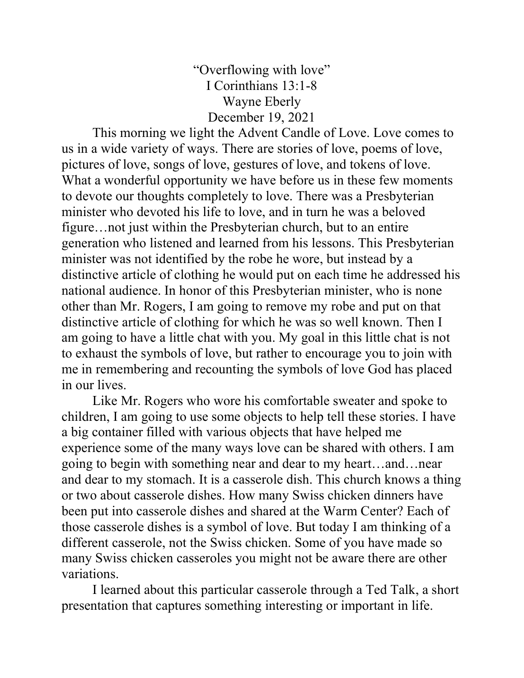"Overflowing with love" I Corinthians 13:1-8 Wayne Eberly December 19, 2021

 This morning we light the Advent Candle of Love. Love comes to us in a wide variety of ways. There are stories of love, poems of love, pictures of love, songs of love, gestures of love, and tokens of love. What a wonderful opportunity we have before us in these few moments to devote our thoughts completely to love. There was a Presbyterian minister who devoted his life to love, and in turn he was a beloved figure…not just within the Presbyterian church, but to an entire generation who listened and learned from his lessons. This Presbyterian minister was not identified by the robe he wore, but instead by a distinctive article of clothing he would put on each time he addressed his national audience. In honor of this Presbyterian minister, who is none other than Mr. Rogers, I am going to remove my robe and put on that distinctive article of clothing for which he was so well known. Then I am going to have a little chat with you. My goal in this little chat is not to exhaust the symbols of love, but rather to encourage you to join with me in remembering and recounting the symbols of love God has placed in our lives.

 Like Mr. Rogers who wore his comfortable sweater and spoke to children, I am going to use some objects to help tell these stories. I have a big container filled with various objects that have helped me experience some of the many ways love can be shared with others. I am going to begin with something near and dear to my heart…and…near and dear to my stomach. It is a casserole dish. This church knows a thing or two about casserole dishes. How many Swiss chicken dinners have been put into casserole dishes and shared at the Warm Center? Each of those casserole dishes is a symbol of love. But today I am thinking of a different casserole, not the Swiss chicken. Some of you have made so many Swiss chicken casseroles you might not be aware there are other variations.

I learned about this particular casserole through a Ted Talk, a short presentation that captures something interesting or important in life.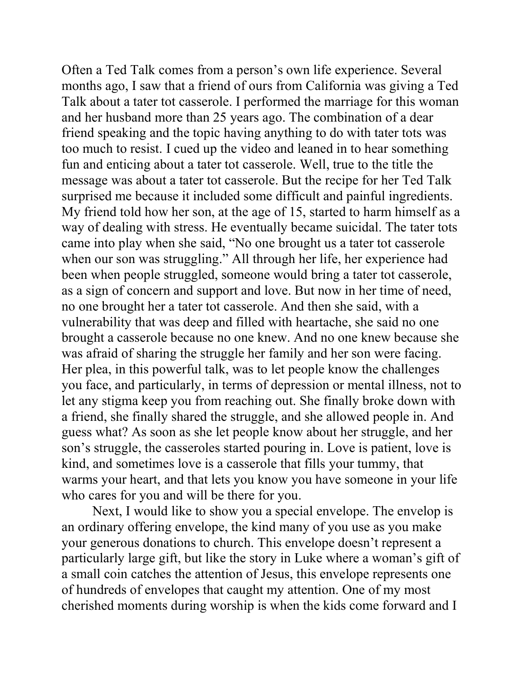Often a Ted Talk comes from a person's own life experience. Several months ago, I saw that a friend of ours from California was giving a Ted Talk about a tater tot casserole. I performed the marriage for this woman and her husband more than 25 years ago. The combination of a dear friend speaking and the topic having anything to do with tater tots was too much to resist. I cued up the video and leaned in to hear something fun and enticing about a tater tot casserole. Well, true to the title the message was about a tater tot casserole. But the recipe for her Ted Talk surprised me because it included some difficult and painful ingredients. My friend told how her son, at the age of 15, started to harm himself as a way of dealing with stress. He eventually became suicidal. The tater tots came into play when she said, "No one brought us a tater tot casserole when our son was struggling." All through her life, her experience had been when people struggled, someone would bring a tater tot casserole, as a sign of concern and support and love. But now in her time of need, no one brought her a tater tot casserole. And then she said, with a vulnerability that was deep and filled with heartache, she said no one brought a casserole because no one knew. And no one knew because she was afraid of sharing the struggle her family and her son were facing. Her plea, in this powerful talk, was to let people know the challenges you face, and particularly, in terms of depression or mental illness, not to let any stigma keep you from reaching out. She finally broke down with a friend, she finally shared the struggle, and she allowed people in. And guess what? As soon as she let people know about her struggle, and her son's struggle, the casseroles started pouring in. Love is patient, love is kind, and sometimes love is a casserole that fills your tummy, that warms your heart, and that lets you know you have someone in your life who cares for you and will be there for you.

Next, I would like to show you a special envelope. The envelop is an ordinary offering envelope, the kind many of you use as you make your generous donations to church. This envelope doesn't represent a particularly large gift, but like the story in Luke where a woman's gift of a small coin catches the attention of Jesus, this envelope represents one of hundreds of envelopes that caught my attention. One of my most cherished moments during worship is when the kids come forward and I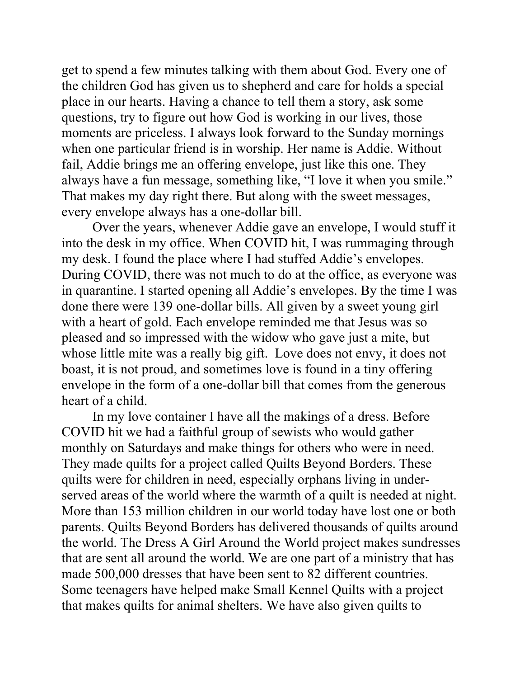get to spend a few minutes talking with them about God. Every one of the children God has given us to shepherd and care for holds a special place in our hearts. Having a chance to tell them a story, ask some questions, try to figure out how God is working in our lives, those moments are priceless. I always look forward to the Sunday mornings when one particular friend is in worship. Her name is Addie. Without fail, Addie brings me an offering envelope, just like this one. They always have a fun message, something like, "I love it when you smile." That makes my day right there. But along with the sweet messages, every envelope always has a one-dollar bill.

Over the years, whenever Addie gave an envelope, I would stuff it into the desk in my office. When COVID hit, I was rummaging through my desk. I found the place where I had stuffed Addie's envelopes. During COVID, there was not much to do at the office, as everyone was in quarantine. I started opening all Addie's envelopes. By the time I was done there were 139 one-dollar bills. All given by a sweet young girl with a heart of gold. Each envelope reminded me that Jesus was so pleased and so impressed with the widow who gave just a mite, but whose little mite was a really big gift. Love does not envy, it does not boast, it is not proud, and sometimes love is found in a tiny offering envelope in the form of a one-dollar bill that comes from the generous heart of a child.

In my love container I have all the makings of a dress. Before COVID hit we had a faithful group of sewists who would gather monthly on Saturdays and make things for others who were in need. They made quilts for a project called Quilts Beyond Borders. These quilts were for children in need, especially orphans living in underserved areas of the world where the warmth of a quilt is needed at night. More than 153 million children in our world today have lost one or both parents. Quilts Beyond Borders has delivered thousands of quilts around the world. The Dress A Girl Around the World project makes sundresses that are sent all around the world. We are one part of a ministry that has made 500,000 dresses that have been sent to 82 different countries. Some teenagers have helped make Small Kennel Quilts with a project that makes quilts for animal shelters. We have also given quilts to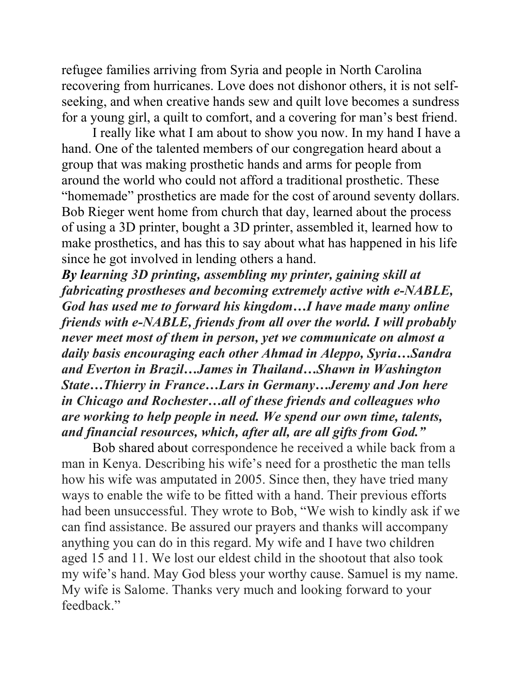refugee families arriving from Syria and people in North Carolina recovering from hurricanes. Love does not dishonor others, it is not selfseeking, and when creative hands sew and quilt love becomes a sundress for a young girl, a quilt to comfort, and a covering for man's best friend.

I really like what I am about to show you now. In my hand I have a hand. One of the talented members of our congregation heard about a group that was making prosthetic hands and arms for people from around the world who could not afford a traditional prosthetic. These "homemade" prosthetics are made for the cost of around seventy dollars. Bob Rieger went home from church that day, learned about the process of using a 3D printer, bought a 3D printer, assembled it, learned how to make prosthetics, and has this to say about what has happened in his life since he got involved in lending others a hand.

By learning 3D printing, assembling my printer, gaining skill at fabricating prostheses and becoming extremely active with e-NABLE, God has used me to forward his kingdom…I have made many online friends with e-NABLE, friends from all over the world. I will probably never meet most of them in person, yet we communicate on almost a daily basis encouraging each other Ahmad in Aleppo, Syria…Sandra and Everton in Brazil…James in Thailand…Shawn in Washington State…Thierry in France…Lars in Germany…Jeremy and Jon here in Chicago and Rochester…all of these friends and colleagues who are working to help people in need. We spend our own time, talents, and financial resources, which, after all, are all gifts from God."

 Bob shared about correspondence he received a while back from a man in Kenya. Describing his wife's need for a prosthetic the man tells how his wife was amputated in 2005. Since then, they have tried many ways to enable the wife to be fitted with a hand. Their previous efforts had been unsuccessful. They wrote to Bob, "We wish to kindly ask if we can find assistance. Be assured our prayers and thanks will accompany anything you can do in this regard. My wife and I have two children aged 15 and 11. We lost our eldest child in the shootout that also took my wife's hand. May God bless your worthy cause. Samuel is my name. My wife is Salome. Thanks very much and looking forward to your feedback."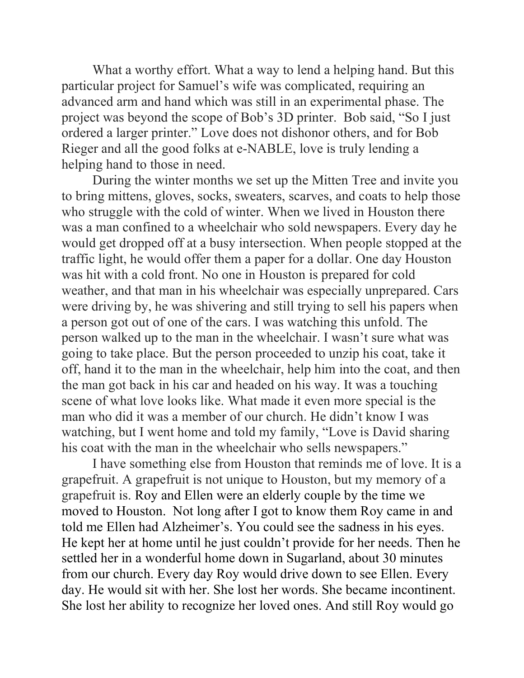What a worthy effort. What a way to lend a helping hand. But this particular project for Samuel's wife was complicated, requiring an advanced arm and hand which was still in an experimental phase. The project was beyond the scope of Bob's 3D printer. Bob said, "So I just ordered a larger printer." Love does not dishonor others, and for Bob Rieger and all the good folks at e-NABLE, love is truly lending a helping hand to those in need.

 During the winter months we set up the Mitten Tree and invite you to bring mittens, gloves, socks, sweaters, scarves, and coats to help those who struggle with the cold of winter. When we lived in Houston there was a man confined to a wheelchair who sold newspapers. Every day he would get dropped off at a busy intersection. When people stopped at the traffic light, he would offer them a paper for a dollar. One day Houston was hit with a cold front. No one in Houston is prepared for cold weather, and that man in his wheelchair was especially unprepared. Cars were driving by, he was shivering and still trying to sell his papers when a person got out of one of the cars. I was watching this unfold. The person walked up to the man in the wheelchair. I wasn't sure what was going to take place. But the person proceeded to unzip his coat, take it off, hand it to the man in the wheelchair, help him into the coat, and then the man got back in his car and headed on his way. It was a touching scene of what love looks like. What made it even more special is the man who did it was a member of our church. He didn't know I was watching, but I went home and told my family, "Love is David sharing his coat with the man in the wheelchair who sells newspapers."

 I have something else from Houston that reminds me of love. It is a grapefruit. A grapefruit is not unique to Houston, but my memory of a grapefruit is. Roy and Ellen were an elderly couple by the time we moved to Houston. Not long after I got to know them Roy came in and told me Ellen had Alzheimer's. You could see the sadness in his eyes. He kept her at home until he just couldn't provide for her needs. Then he settled her in a wonderful home down in Sugarland, about 30 minutes from our church. Every day Roy would drive down to see Ellen. Every day. He would sit with her. She lost her words. She became incontinent. She lost her ability to recognize her loved ones. And still Roy would go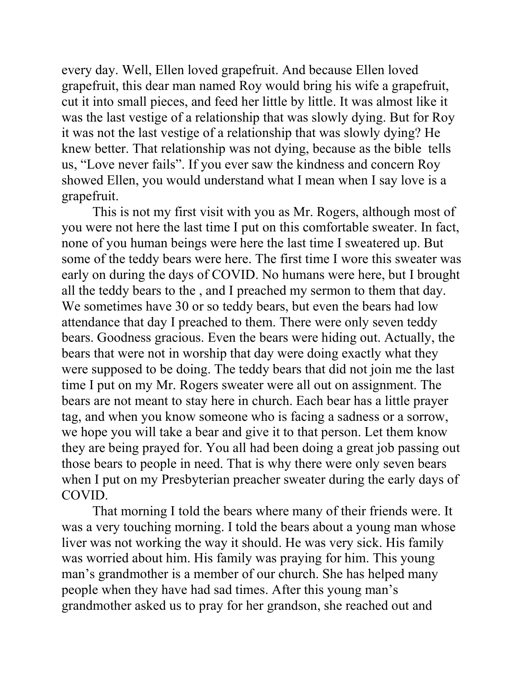every day. Well, Ellen loved grapefruit. And because Ellen loved grapefruit, this dear man named Roy would bring his wife a grapefruit, cut it into small pieces, and feed her little by little. It was almost like it was the last vestige of a relationship that was slowly dying. But for Roy it was not the last vestige of a relationship that was slowly dying? He knew better. That relationship was not dying, because as the bible tells us, "Love never fails". If you ever saw the kindness and concern Roy showed Ellen, you would understand what I mean when I say love is a grapefruit.

 This is not my first visit with you as Mr. Rogers, although most of you were not here the last time I put on this comfortable sweater. In fact, none of you human beings were here the last time I sweatered up. But some of the teddy bears were here. The first time I wore this sweater was early on during the days of COVID. No humans were here, but I brought all the teddy bears to the , and I preached my sermon to them that day. We sometimes have 30 or so teddy bears, but even the bears had low attendance that day I preached to them. There were only seven teddy bears. Goodness gracious. Even the bears were hiding out. Actually, the bears that were not in worship that day were doing exactly what they were supposed to be doing. The teddy bears that did not join me the last time I put on my Mr. Rogers sweater were all out on assignment. The bears are not meant to stay here in church. Each bear has a little prayer tag, and when you know someone who is facing a sadness or a sorrow, we hope you will take a bear and give it to that person. Let them know they are being prayed for. You all had been doing a great job passing out those bears to people in need. That is why there were only seven bears when I put on my Presbyterian preacher sweater during the early days of COVID.

 That morning I told the bears where many of their friends were. It was a very touching morning. I told the bears about a young man whose liver was not working the way it should. He was very sick. His family was worried about him. His family was praying for him. This young man's grandmother is a member of our church. She has helped many people when they have had sad times. After this young man's grandmother asked us to pray for her grandson, she reached out and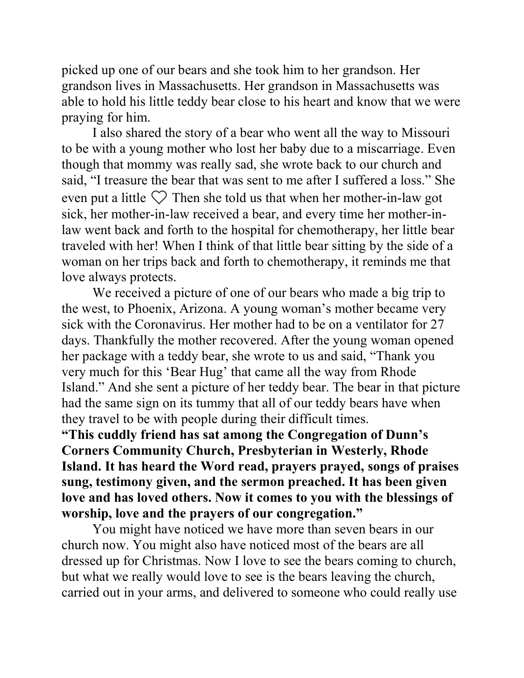picked up one of our bears and she took him to her grandson. Her grandson lives in Massachusetts. Her grandson in Massachusetts was able to hold his little teddy bear close to his heart and know that we were praying for him.

I also shared the story of a bear who went all the way to Missouri to be with a young mother who lost her baby due to a miscarriage. Even though that mommy was really sad, she wrote back to our church and said, "I treasure the bear that was sent to me after I suffered a loss." She even put a little  $\heartsuit$  Then she told us that when her mother-in-law got sick, her mother-in-law received a bear, and every time her mother-inlaw went back and forth to the hospital for chemotherapy, her little bear traveled with her! When I think of that little bear sitting by the side of a woman on her trips back and forth to chemotherapy, it reminds me that love always protects.

 We received a picture of one of our bears who made a big trip to the west, to Phoenix, Arizona. A young woman's mother became very sick with the Coronavirus. Her mother had to be on a ventilator for 27 days. Thankfully the mother recovered. After the young woman opened her package with a teddy bear, she wrote to us and said, "Thank you very much for this 'Bear Hug' that came all the way from Rhode Island." And she sent a picture of her teddy bear. The bear in that picture had the same sign on its tummy that all of our teddy bears have when they travel to be with people during their difficult times.

"This cuddly friend has sat among the Congregation of Dunn's Corners Community Church, Presbyterian in Westerly, Rhode Island. It has heard the Word read, prayers prayed, songs of praises sung, testimony given, and the sermon preached. It has been given love and has loved others. Now it comes to you with the blessings of worship, love and the prayers of our congregation."

You might have noticed we have more than seven bears in our church now. You might also have noticed most of the bears are all dressed up for Christmas. Now I love to see the bears coming to church, but what we really would love to see is the bears leaving the church, carried out in your arms, and delivered to someone who could really use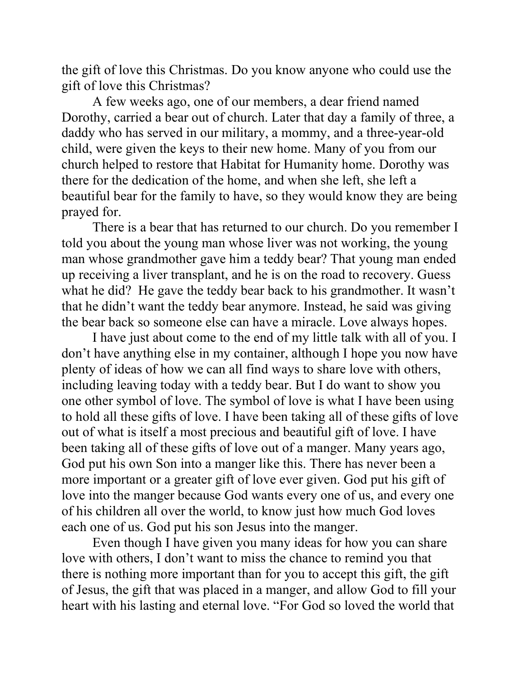the gift of love this Christmas. Do you know anyone who could use the gift of love this Christmas?

 A few weeks ago, one of our members, a dear friend named Dorothy, carried a bear out of church. Later that day a family of three, a daddy who has served in our military, a mommy, and a three-year-old child, were given the keys to their new home. Many of you from our church helped to restore that Habitat for Humanity home. Dorothy was there for the dedication of the home, and when she left, she left a beautiful bear for the family to have, so they would know they are being prayed for.

 There is a bear that has returned to our church. Do you remember I told you about the young man whose liver was not working, the young man whose grandmother gave him a teddy bear? That young man ended up receiving a liver transplant, and he is on the road to recovery. Guess what he did? He gave the teddy bear back to his grandmother. It wasn't that he didn't want the teddy bear anymore. Instead, he said was giving the bear back so someone else can have a miracle. Love always hopes.

 I have just about come to the end of my little talk with all of you. I don't have anything else in my container, although I hope you now have plenty of ideas of how we can all find ways to share love with others, including leaving today with a teddy bear. But I do want to show you one other symbol of love. The symbol of love is what I have been using to hold all these gifts of love. I have been taking all of these gifts of love out of what is itself a most precious and beautiful gift of love. I have been taking all of these gifts of love out of a manger. Many years ago, God put his own Son into a manger like this. There has never been a more important or a greater gift of love ever given. God put his gift of love into the manger because God wants every one of us, and every one of his children all over the world, to know just how much God loves each one of us. God put his son Jesus into the manger.

 Even though I have given you many ideas for how you can share love with others, I don't want to miss the chance to remind you that there is nothing more important than for you to accept this gift, the gift of Jesus, the gift that was placed in a manger, and allow God to fill your heart with his lasting and eternal love. "For God so loved the world that